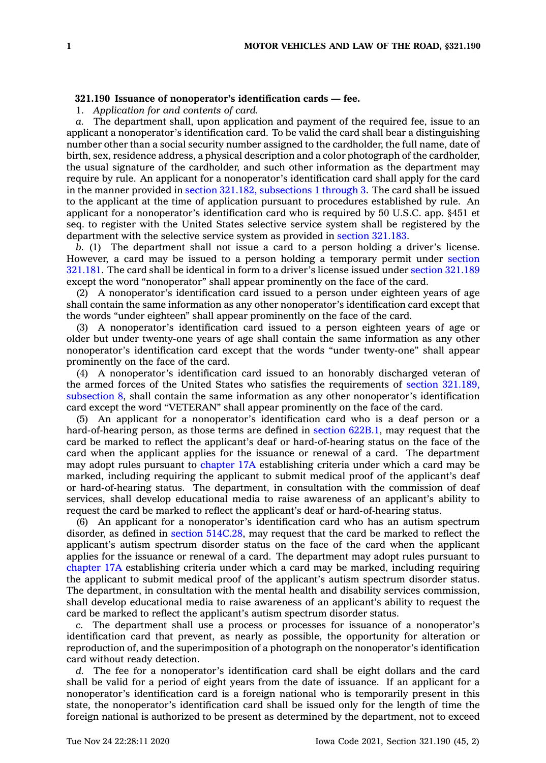## **321.190 Issuance of nonoperator's identification cards — fee.**

1. *Application for and contents of card.*

*a.* The department shall, upon application and payment of the required fee, issue to an applicant <sup>a</sup> nonoperator's identification card. To be valid the card shall bear <sup>a</sup> distinguishing number other than <sup>a</sup> social security number assigned to the cardholder, the full name, date of birth, sex, residence address, <sup>a</sup> physical description and <sup>a</sup> color photograph of the cardholder, the usual signature of the cardholder, and such other information as the department may require by rule. An applicant for <sup>a</sup> nonoperator's identification card shall apply for the card in the manner provided in section 321.182, [subsections](https://www.legis.iowa.gov/docs/code/321.182.pdf) 1 through 3. The card shall be issued to the applicant at the time of application pursuant to procedures established by rule. An applicant for <sup>a</sup> nonoperator's identification card who is required by 50 U.S.C. app. §451 et seq. to register with the United States selective service system shall be registered by the department with the selective service system as provided in section [321.183](https://www.legis.iowa.gov/docs/code/321.183.pdf).

*b.* (1) The department shall not issue <sup>a</sup> card to <sup>a</sup> person holding <sup>a</sup> driver's license. However, <sup>a</sup> card may be issued to <sup>a</sup> person holding <sup>a</sup> temporary permit under [section](https://www.legis.iowa.gov/docs/code/321.181.pdf) [321.181](https://www.legis.iowa.gov/docs/code/321.181.pdf). The card shall be identical in form to <sup>a</sup> driver's license issued under section [321.189](https://www.legis.iowa.gov/docs/code/321.189.pdf) except the word "nonoperator" shall appear prominently on the face of the card.

(2) A nonoperator's identification card issued to <sup>a</sup> person under eighteen years of age shall contain the same information as any other nonoperator's identification card except that the words "under eighteen" shall appear prominently on the face of the card.

(3) A nonoperator's identification card issued to <sup>a</sup> person eighteen years of age or older but under twenty-one years of age shall contain the same information as any other nonoperator's identification card except that the words "under twenty-one" shall appear prominently on the face of the card.

(4) A nonoperator's identification card issued to an honorably discharged veteran of the armed forces of the United States who satisfies the requirements of section [321.189,](https://www.legis.iowa.gov/docs/code/321.189.pdf) [subsection](https://www.legis.iowa.gov/docs/code/321.189.pdf) 8, shall contain the same information as any other nonoperator's identification card except the word "VETERAN" shall appear prominently on the face of the card.

(5) An applicant for <sup>a</sup> nonoperator's identification card who is <sup>a</sup> deaf person or <sup>a</sup> hard-of-hearing person, as those terms are defined in section [622B.1](https://www.legis.iowa.gov/docs/code/622B.1.pdf), may request that the card be marked to reflect the applicant's deaf or hard-of-hearing status on the face of the card when the applicant applies for the issuance or renewal of <sup>a</sup> card. The department may adopt rules pursuant to [chapter](https://www.legis.iowa.gov/docs/code//17A.pdf) 17A establishing criteria under which <sup>a</sup> card may be marked, including requiring the applicant to submit medical proof of the applicant's deaf or hard-of-hearing status. The department, in consultation with the commission of deaf services, shall develop educational media to raise awareness of an applicant's ability to request the card be marked to reflect the applicant's deaf or hard-of-hearing status.

(6) An applicant for <sup>a</sup> nonoperator's identification card who has an autism spectrum disorder, as defined in section [514C.28](https://www.legis.iowa.gov/docs/code/514C.28.pdf), may request that the card be marked to reflect the applicant's autism spectrum disorder status on the face of the card when the applicant applies for the issuance or renewal of <sup>a</sup> card. The department may adopt rules pursuant to [chapter](https://www.legis.iowa.gov/docs/code//17A.pdf) 17A establishing criteria under which <sup>a</sup> card may be marked, including requiring the applicant to submit medical proof of the applicant's autism spectrum disorder status. The department, in consultation with the mental health and disability services commission, shall develop educational media to raise awareness of an applicant's ability to request the card be marked to reflect the applicant's autism spectrum disorder status.

*c.* The department shall use <sup>a</sup> process or processes for issuance of <sup>a</sup> nonoperator's identification card that prevent, as nearly as possible, the opportunity for alteration or reproduction of, and the superimposition of <sup>a</sup> photograph on the nonoperator's identification card without ready detection.

*d.* The fee for <sup>a</sup> nonoperator's identification card shall be eight dollars and the card shall be valid for <sup>a</sup> period of eight years from the date of issuance. If an applicant for <sup>a</sup> nonoperator's identification card is <sup>a</sup> foreign national who is temporarily present in this state, the nonoperator's identification card shall be issued only for the length of time the foreign national is authorized to be present as determined by the department, not to exceed